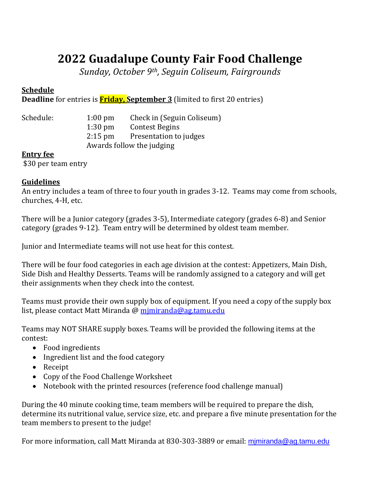# **2022 Guadalupe County Fair Food Challenge**

*Sunday, October 9th, Seguin Coliseum, Fairgrounds*

### **Schedule**

**Deadline** for entries is **Friday, September 3** (limited to first 20 entries)

| Schedule: | $1:00 \text{ pm}$         | Check in (Seguin Coliseum) |
|-----------|---------------------------|----------------------------|
|           | $1:30$ pm                 | <b>Contest Begins</b>      |
|           | $2:15$ pm                 | Presentation to judges     |
|           | Awards follow the judging |                            |

#### **Entry fee**

\$30 per team entry

#### **Guidelines**

An entry includes a team of three to four youth in grades 3-12. Teams may come from schools, churches, 4-H, etc.

There will be a Junior category (grades 3-5), Intermediate category (grades 6-8) and Senior category (grades 9-12). Team entry will be determined by oldest team member.

Junior and Intermediate teams will not use heat for this contest.

There will be four food categories in each age division at the contest: Appetizers, Main Dish, Side Dish and Healthy Desserts. Teams will be randomly assigned to a category and will get their assignments when they check into the contest.

Teams must provide their own supply box of equipment. If you need a copy of the supply box list, please contact Matt Miranda @ mimiranda@ag.tamu.edu

Teams may NOT SHARE supply boxes. Teams will be provided the following items at the contest:

- Food ingredients
- Ingredient list and the food category
- Receipt
- Copy of the Food Challenge Worksheet
- Notebook with the printed resources (reference food challenge manual)

During the 40 minute cooking time, team members will be required to prepare the dish, determine its nutritional value, service size, etc. and prepare a five minute presentation for the team members to present to the judge!

For more information, call Matt Miranda at 830-303-3889 or email: [mjmiranda@ag.tamu.edu](mailto:mjmiranda@ag.tamu.edu)